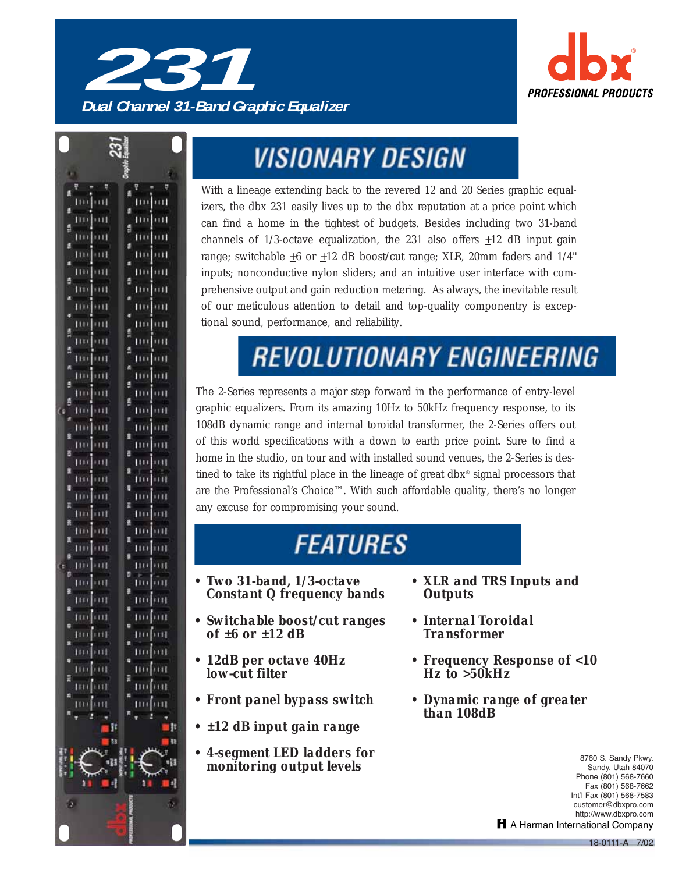

**Dual Channel 31-Band Graphic Equalizer**



## **VISIONARY DESIGN**

With a lineage extending back to the revered 12 and 20 Series graphic equalizers, the dbx 231 easily lives up to the dbx reputation at a price point which can find a home in the tightest of budgets. Besides including two 31-band channels of 1/3-octave equalization, the 231 also offers  $\pm 12$  dB input gain range; switchable  $\pm 6$  or  $\pm 12$  dB boost/cut range; XLR, 20mm faders and 1/4" inputs; nonconductive nylon sliders; and an intuitive user interface with comprehensive output and gain reduction metering. As always, the inevitable result of our meticulous attention to detail and top-quality componentry is exceptional sound, performance, and reliability.

## **REVOLUTIONARY ENGINEERING**

The 2-Series represents a major step forward in the performance of entry-level graphic equalizers. From its amazing 10Hz to 50kHz frequency response, to its 108dB dynamic range and internal toroidal transformer, the 2-Series offers out of this world specifications with a down to earth price point. Sure to find a home in the studio, on tour and with installed sound venues, the 2-Series is destined to take its rightful place in the lineage of great dbx® signal processors that are the Professional's Choice™. With such affordable quality, there's no longer any excuse for compromising your sound.

## **FEATURES**

- *Two 31-band, 1/3-octave Constant Q frequency bands*
- *Switchable boost/cut ranges of ±6 or ±12 dB*
- *12dB per octave 40Hz low-cut filter*
- *Front panel bypass switch*
- *±12 dB input gain range*
- *4-segment LED ladders for monitoring output levels*
- *XLR and TRS Inputs and Outputs*
- *Internal Toroidal Transformer*
- *Frequency Response of <10 Hz to >50kHz*
- *Dynamic range of greater than 108dB*

8760 S. Sandy Pkwy. Sandy, Utah 84070 Phone (801) 568-7660 Fax (801) 568-7662 Int'l Fax (801) 568-7583 customer@dbxpro.com http://www.dbxpro.com H A Harman International Company